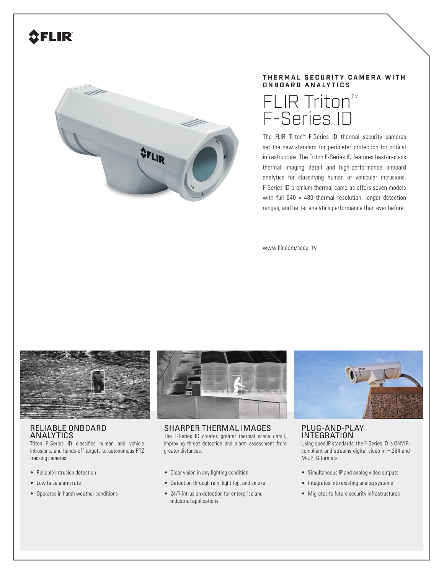# **SFLIR**



# **THERMAL SECURITY CAMERA WITH ONBOARD ANALYTICS**



The FLIR Triton™ F-Series ID thermal security cameras set the new standard for perimeter protection for critical infrastructure. The Triton F-Series ID features best-in-class thermal imaging detail and high-performance onboard analytics for classifying human or vehicular intrusions. F-Series ID premium thermal cameras offers seven models with full  $640 \times 480$  thermal resolution, longer detection ranges, and better analytics performance than ever before.

www.flir.com/security



### RELIABLE ONBOARD **ANALYTICS**

Triton F-Series ID classifies human and vehicle intrusions, and hands-off targets to autonomous PTZ tracking cameras.

- Reliable intrusion detection
- Low false alarm rate
- Operates in harsh weather conditions



SHARPER THERMAL IMAGES The F-Series ID creates greater thermal scene detail, improving threat detection and alarm assessment from greater distances.

- Clear vision in any lighting condition
- Detection through rain, light fog, and smoke
- 24/7 intrusion detection for enterprise and industrial applications



PLUG-AND-PLAY INTEGRATION

Using open IP standards, the F-Series ID is ONVIFcompliant and streams digital video in H.264 and M-JPEG formats.

- Simultaneous IP and analog video outputs
- Integrates into existing analog systems
- Migrates to future security infrastructures